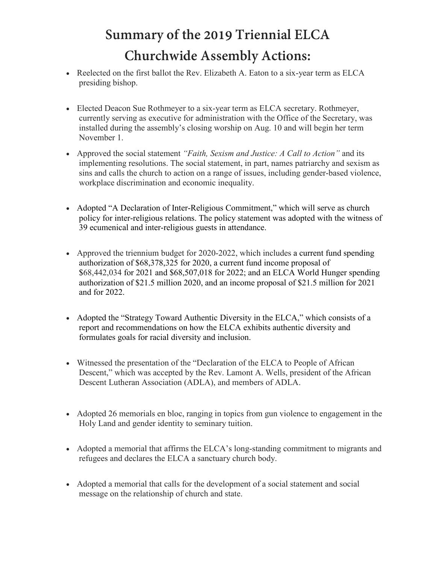## **Summary of the 2019 Triennial ELCA Churchwide Assembly Actions:**

- Reelected on the first ballot the Rev. Elizabeth A. Eaton to a six-year term as ELCA presiding bishop.
- Elected Deacon Sue Rothmeyer to a six-year term as ELCA secretary. Rothmeyer, currently serving as executive for administration with the Office of the Secretary, was installed during the assembly's closing worship on Aug. 10 and will begin her term November 1.
- Approved the social statement *"Faith, Sexism and Justice: A Call to Action"* and its implementing resolutions. The social statement, in part, names patriarchy and sexism as sins and calls the church to action on a range of issues, including gender-based violence, workplace discrimination and economic inequality.
- Adopted "A Declaration of Inter-Religious Commitment," which will serve as church policy for inter-religious relations. The policy statement was adopted with the witness of 39 ecumenical and inter-religious guests in attendance.
- Approved the triennium budget for 2020-2022, which includes a current fund spending authorization of \$68,378,325 for 2020, a current fund income proposal of \$68,442,034 for 2021 and \$68,507,018 for 2022; and an ELCA World Hunger spending authorization of \$21.5 million 2020, and an income proposal of \$21.5 million for 2021 and for 2022.
- Adopted the "Strategy Toward Authentic Diversity in the ELCA," which consists of a report and recommendations on how the ELCA exhibits authentic diversity and formulates goals for racial diversity and inclusion.
- Witnessed the presentation of the "Declaration of the ELCA to People of African Descent," which was accepted by the Rev. Lamont A. Wells, president of the African Descent Lutheran Association (ADLA), and members of ADLA.
- Adopted 26 memorials en bloc, ranging in topics from gun violence to engagement in the Holy Land and gender identity to seminary tuition.
- Adopted a memorial that affirms the ELCA's long-standing commitment to migrants and refugees and declares the ELCA a sanctuary church body.
- Adopted a memorial that calls for the development of a social statement and social message on the relationship of church and state.